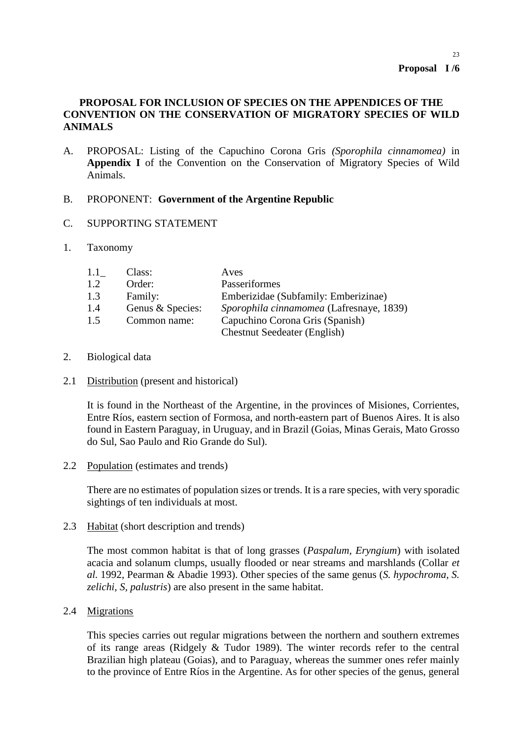# **PROPOSAL FOR INCLUSION OF SPECIES ON THE APPENDICES OF THE CONVENTION ON THE CONSERVATION OF MIGRATORY SPECIES OF WILD ANIMALS**

- A. PROPOSAL: Listing of the Capuchino Corona Gris *(Sporophila cinnamomea)* in **Appendix I** of the Convention on the Conservation of Migratory Species of Wild Animals.
- B. PROPONENT: **Government of the Argentine Republic**
- C. SUPPORTING STATEMENT
- 1. Taxonomy

| 1.1 | Class:           | Aves                                     |
|-----|------------------|------------------------------------------|
| 1.2 | Order:           | Passeriformes                            |
| 1.3 | Family:          | Emberizidae (Subfamily: Emberizinae)     |
| 1.4 | Genus & Species: | Sporophila cinnamomea (Lafresnaye, 1839) |
| 1.5 | Common name:     | Capuchino Corona Gris (Spanish)          |
|     |                  | <b>Chestnut Seedeater (English)</b>      |

- 2. Biological data
- 2.1 Distribution (present and historical)

It is found in the Northeast of the Argentine, in the provinces of Misiones, Corrientes, Entre Ríos, eastern section of Formosa, and north-eastern part of Buenos Aires. It is also found in Eastern Paraguay, in Uruguay, and in Brazil (Goias, Minas Gerais, Mato Grosso do Sul, Sao Paulo and Rio Grande do Sul).

2.2 Population (estimates and trends)

There are no estimates of population sizes or trends. It is a rare species, with very sporadic sightings of ten individuals at most.

2.3 Habitat (short description and trends)

The most common habitat is that of long grasses (*Paspalum, Eryngium*) with isolated acacia and solanum clumps, usually flooded or near streams and marshlands (Collar *et al.* 1992, Pearman & Abadie 1993). Other species of the same genus (*S. hypochroma, S. zelichi, S, palustris*) are also present in the same habitat.

2.4 Migrations

This species carries out regular migrations between the northern and southern extremes of its range areas (Ridgely & Tudor 1989). The winter records refer to the central Brazilian high plateau (Goias), and to Paraguay, whereas the summer ones refer mainly to the province of Entre Ríos in the Argentine. As for other species of the genus, general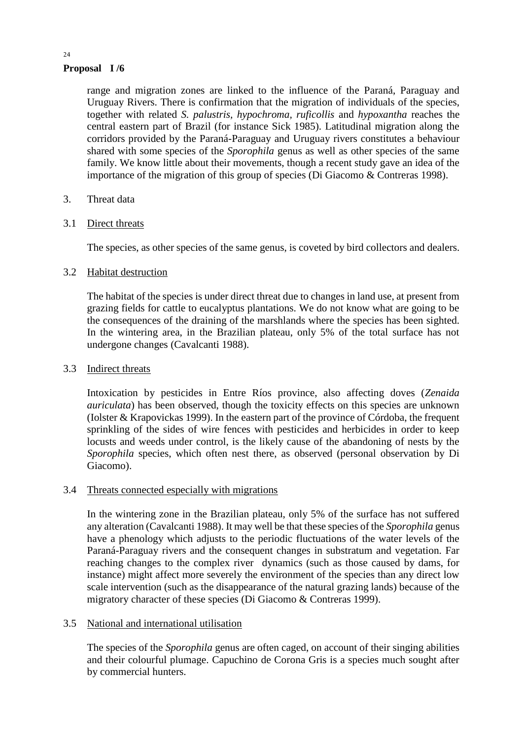# **Proposal I /6**

range and migration zones are linked to the influence of the Paraná, Paraguay and Uruguay Rivers. There is confirmation that the migration of individuals of the species, together with related *S. palustris, hypochroma, ruficollis* and *hypoxantha* reaches the central eastern part of Brazil (for instance Sick 1985). Latitudinal migration along the corridors provided by the Paraná-Paraguay and Uruguay rivers constitutes a behaviour shared with some species of the *Sporophila* genus as well as other species of the same family. We know little about their movements, though a recent study gave an idea of the importance of the migration of this group of species (Di Giacomo & Contreras 1998).

# 3. Threat data

### 3.1 Direct threats

The species, as other species of the same genus, is coveted by bird collectors and dealers.

### 3.2 Habitat destruction

The habitat of the species is under direct threat due to changes in land use, at present from grazing fields for cattle to eucalyptus plantations. We do not know what are going to be the consequences of the draining of the marshlands where the species has been sighted. In the wintering area, in the Brazilian plateau, only 5% of the total surface has not undergone changes (Cavalcanti 1988).

### 3.3 Indirect threats

Intoxication by pesticides in Entre Ríos province, also affecting doves (*Zenaida auriculata*) has been observed, though the toxicity effects on this species are unknown (Iolster & Krapovickas 1999). In the eastern part of the province of Córdoba, the frequent sprinkling of the sides of wire fences with pesticides and herbicides in order to keep locusts and weeds under control, is the likely cause of the abandoning of nests by the *Sporophila* species, which often nest there, as observed (personal observation by Di Giacomo).

#### 3.4 Threats connected especially with migrations

In the wintering zone in the Brazilian plateau, only 5% of the surface has not suffered any alteration (Cavalcanti 1988). It may well be that these species of the *Sporophila* genus have a phenology which adjusts to the periodic fluctuations of the water levels of the Paraná-Paraguay rivers and the consequent changes in substratum and vegetation. Far reaching changes to the complex river dynamics (such as those caused by dams, for instance) might affect more severely the environment of the species than any direct low scale intervention (such as the disappearance of the natural grazing lands) because of the migratory character of these species (Di Giacomo & Contreras 1999).

# 3.5 National and international utilisation

The species of the *Sporophila* genus are often caged, on account of their singing abilities and their colourful plumage. Capuchino de Corona Gris is a species much sought after by commercial hunters.

#### 24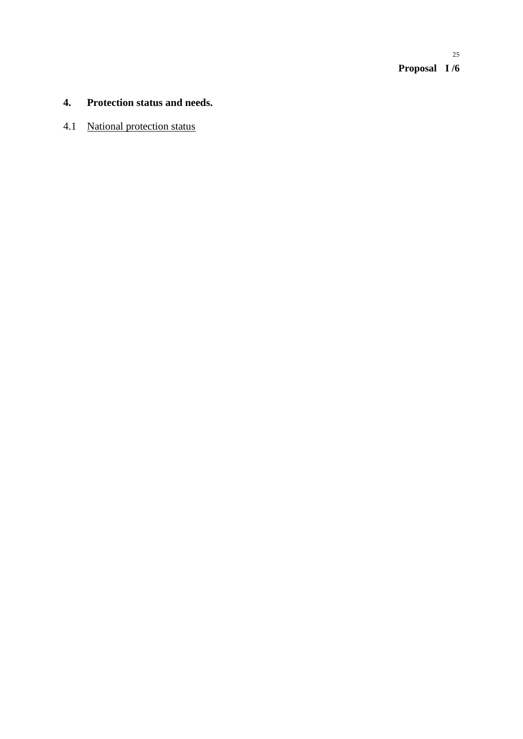**Proposal I /6** 25

# **4. Protection status and needs.**

# 4.1 National protection status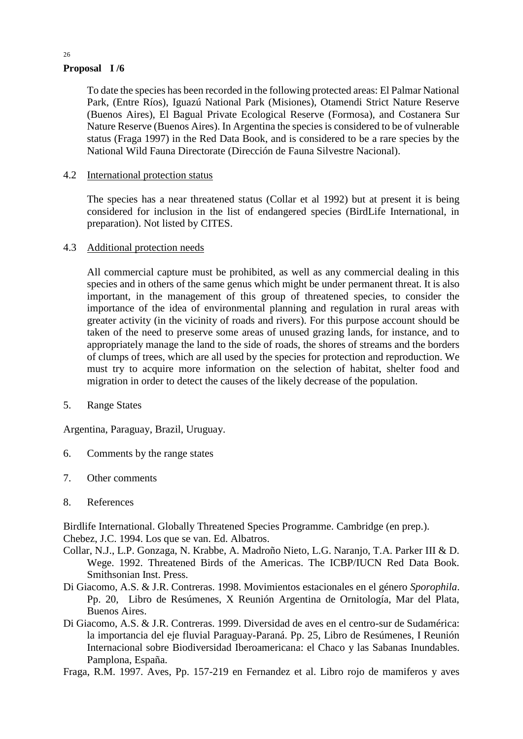# **Proposal I /6**

To date the species has been recorded in the following protected areas: El Palmar National Park, (Entre Ríos), Iguazú National Park (Misiones), Otamendi Strict Nature Reserve (Buenos Aires), El Bagual Private Ecological Reserve (Formosa), and Costanera Sur Nature Reserve (Buenos Aires). In Argentina the species is considered to be of vulnerable status (Fraga 1997) in the Red Data Book, and is considered to be a rare species by the National Wild Fauna Directorate (Dirección de Fauna Silvestre Nacional).

# 4.2 International protection status

The species has a near threatened status (Collar et al 1992) but at present it is being considered for inclusion in the list of endangered species (BirdLife International, in preparation). Not listed by CITES.

#### 4.3 Additional protection needs

All commercial capture must be prohibited, as well as any commercial dealing in this species and in others of the same genus which might be under permanent threat. It is also important, in the management of this group of threatened species, to consider the importance of the idea of environmental planning and regulation in rural areas with greater activity (in the vicinity of roads and rivers). For this purpose account should be taken of the need to preserve some areas of unused grazing lands, for instance, and to appropriately manage the land to the side of roads, the shores of streams and the borders of clumps of trees, which are all used by the species for protection and reproduction. We must try to acquire more information on the selection of habitat, shelter food and migration in order to detect the causes of the likely decrease of the population.

5. Range States

Argentina, Paraguay, Brazil, Uruguay.

- 6. Comments by the range states
- 7. Other comments
- 8. References

Birdlife International. Globally Threatened Species Programme. Cambridge (en prep.). Chebez, J.C. 1994. Los que se van. Ed. Albatros.

- Collar, N.J., L.P. Gonzaga, N. Krabbe, A. Madroño Nieto, L.G. Naranjo, T.A. Parker III & D. Wege. 1992. Threatened Birds of the Americas. The ICBP/IUCN Red Data Book. Smithsonian Inst. Press.
- Di Giacomo, A.S. & J.R. Contreras. 1998. Movimientos estacionales en el género *Sporophila*. Pp. 20, Libro de Resúmenes, X Reunión Argentina de Ornitología, Mar del Plata, Buenos Aires.
- Di Giacomo, A.S. & J.R. Contreras. 1999. Diversidad de aves en el centro-sur de Sudamérica: la importancia del eje fluvial Paraguay-Paraná. Pp. 25, Libro de Resúmenes, I Reunión Internacional sobre Biodiversidad Iberoamericana: el Chaco y las Sabanas Inundables. Pamplona, España.
- Fraga, R.M. 1997. Aves, Pp. 157-219 en Fernandez et al. Libro rojo de mamiferos y aves

26